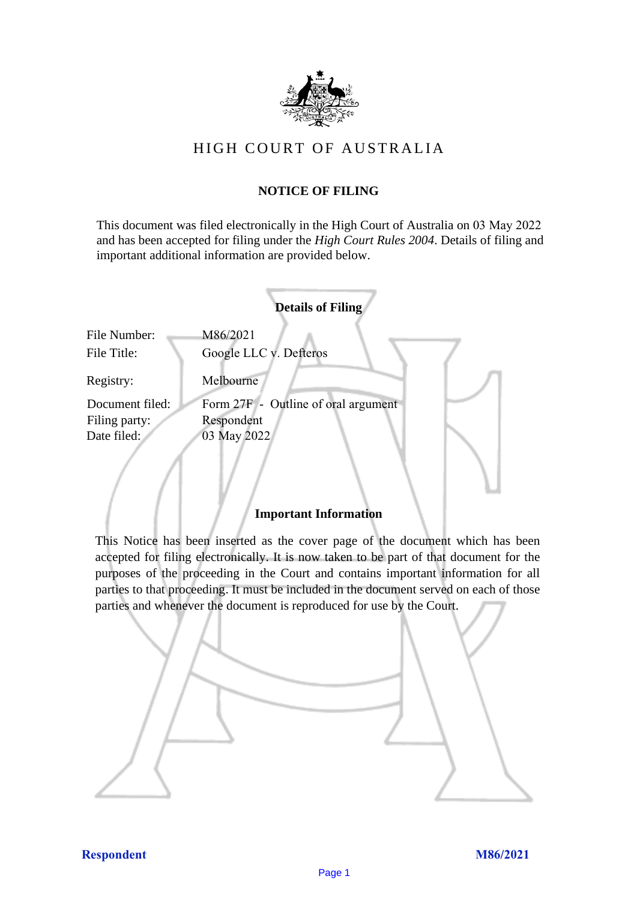

# HIGH COURT OF AU STRALIA HIGH COURT OF AUSTRALIA

## **NOTICE OF FILING** NOTICE OF FILING

This document was filed electronically in the High Court of Australia on 03 May 2022 and has been accepted for filing under the *High Court Rules 2004*. Details of filing and important additional information are provided below. important additional information are provided below.

|                              | <b>Details of Filing</b>                         |
|------------------------------|--------------------------------------------------|
| File Number:<br>File Title:  | M86/2021<br>Google LLC v. Defteros               |
| Registry:<br>Document filed: | Melbourne<br>Form 27F - Outline of oral argument |
| Filing party:                | Respondent                                       |
| Date filed:                  | 03 May 2022                                      |
|                              |                                                  |

## **Important Information** Important Information

This Notice has been inserted as the cover page of the document which has been accepted for filing electronically. It is now taken to be part of that document for the purposes of the proceeding in the Court and contains important information for all parties to that proceeding. It must be included in the document served on each of those parties and whenever the document is reproduced for use by the Court. parties and whenever the document is reproduced for use by the Court

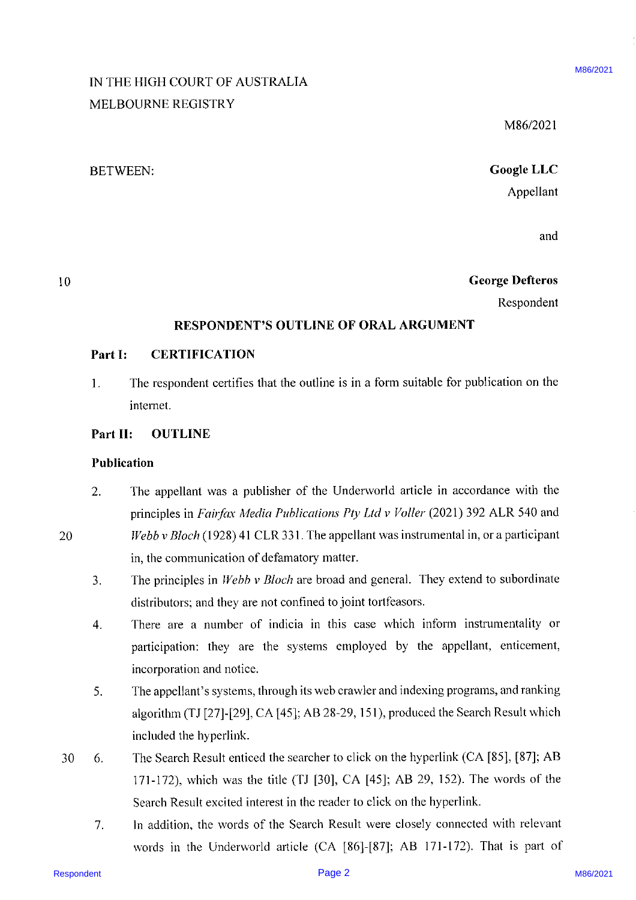# IN THE HIGH COURT OF AUSTRALIA MELBOURNE REGISTRY

M86/2021

M86/2021

# BETWEEN: Google LLC Appellant

and

## 10 George Defteros

Respondent

## RESPONDENT'S OUTLINE OF ORAL ARGUMENT

#### Part I: CERTIFICATION

1. The respondent certifies that the outline is in a form suitable for publication on the internet.

#### Part Il: OUTLINE

#### Publication

- RETRIGTER COURT OF AUSTRALIA MARGE 2021<br>
MELBOOUNNER REGISTRY<br>
MELBOOUNNER REGISTRY<br>
RESPONDENTS OF ORAL ARCUMENT<br>
Complete LLC<br>
Appellent<br>
Respondent<br>
Respondent<br>
Respondent<br>
Part is constructed Marge 2021<br>
The responden 2. The appellant was <sup>a</sup> publisher of the Underworld article in accordance with the principles in Fairfax Media Publications Pty Ltd v Voller (2021) 392 ALR 540 and 20 Webb v Bloch (1928) 41 CLR 331. The appellant was instrumental in, or a participant in, the communication of defamatory matter.
	- 3. The principles in *Webb v Bloch* are broad and general. They extend to subordinate distributors; and they are not confined to joint tortfeasors.
	- 4. There are <sup>a</sup> number of indicia in this case which inform instrumentality or participation: they are the systems employed by the appellant, enticement, incorporation and notice.
	- 5. The appellant's systems, through its web crawler and indexing programs, and ranking algorithm (TJ [27]-[29], CA [45]; AB 28-29, 151), produced the Search Result which included the hyperlink.
	- 30. 6. The Search Result enticed the searcher to click on the hyperlink (CA [85], [87]; AB 171-172), which was the title (TJ [30], CA [45]; AB 29, 152). The words of the Search Result excited interest in the reader to click on the hyperlink.
		- 7. In addition, the words of the Search Result were closely connected with relevant words in the Underworld article (CA [86]-[87]; AB 171-172). That is part of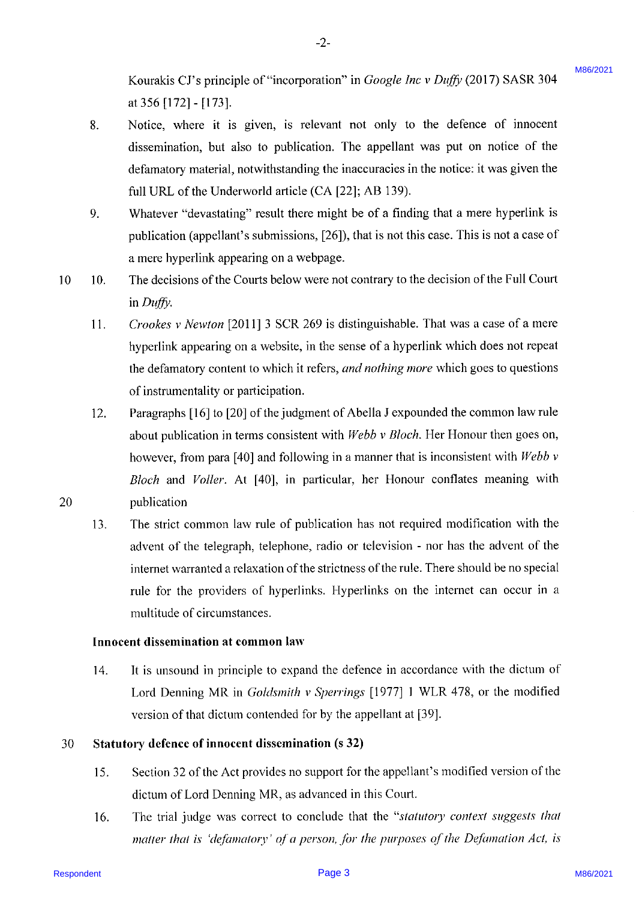Kourakis CJ's principle of "incorporation" in Google Inc <sup>v</sup> Duffy (2017) SASR 304 at 356 [172] - [173].

8. Notice, where it is given, is relevant not only to the defence of innocent dissemination, but also to publication. The appellant was put on notice of the defamatory material, notwithstanding the inaccuracies in the notice: it was given the full URL of the Underworld article (CA [22]; AB 139).

-2-

- 9. Whatever "devastating" result there might be of a finding that a mere hyperlink is publication (appellant's submissions, [26]), that is not this case. This is not a case of a mere hyperlink appearing on a webpage.
- 10 10. The decisions of the Courts below were not contrary to the decision of the Full Court in Duffy.
	- 11. Crookes <sup>v</sup> Newton [2011] <sup>3</sup> SCR 269 is distinguishable. That was a case of a mere hyperlink appearing on a website, in the sense of <sup>a</sup> hyperlink which does not repeat the defamatory content to which it refers, *and nothing more* which goes to questions of instrumentality or participation.
	- 12. Paragraphs [16] to [20] of the judgment of Abella J expounded the common law rule about publication in terms consistent with Webb v Bloch. Her Honour then goes on, however, from para [40] and following in a manner that is inconsistent with Webb v Bloch and Voller. At [40], in particular, her Honour conflates meaning with publication
- Kourakh CTs pinache of "incorporation" in Grogole *bnc* v Dog? (2017) 85888344<br>
R. Notice, where it is given, is relevant not only to the definer of innerent<br>
R. Notice, where it is given, is relevant not only to the defi 13. The strict common law rule of publication has not required modification with the advent of the telegraph, telephone, radio or television - nor has the advent of the internet warranted <sup>a</sup> relaxation of the strictness of the rule. There should be no special rule for the providers of hyperlinks. Hyperlinks on the internet can occur in a multitude of circumstances.

#### Innocent dissemination at common law

14. It is unsound in principle to expand the defence in accordance with the dictum of Lord Denning MR in *Goldsmith v Sperrings* [1977] 1 WLR 478, or the modified version of that dictum contended for by the appellant at [39].

#### 30 Statutory defence of innocent dissemination (s 32)

- 15. Section 32 of the Act provides no support for the appellant's modified version of the dictum of Lord Denning MR, as advanced in this Court.
- 16. The trial judge was correct to conclude that the "statutory context suggests that matter that is 'defamatory' of a person, for the purposes of the Defamation Act, is

20